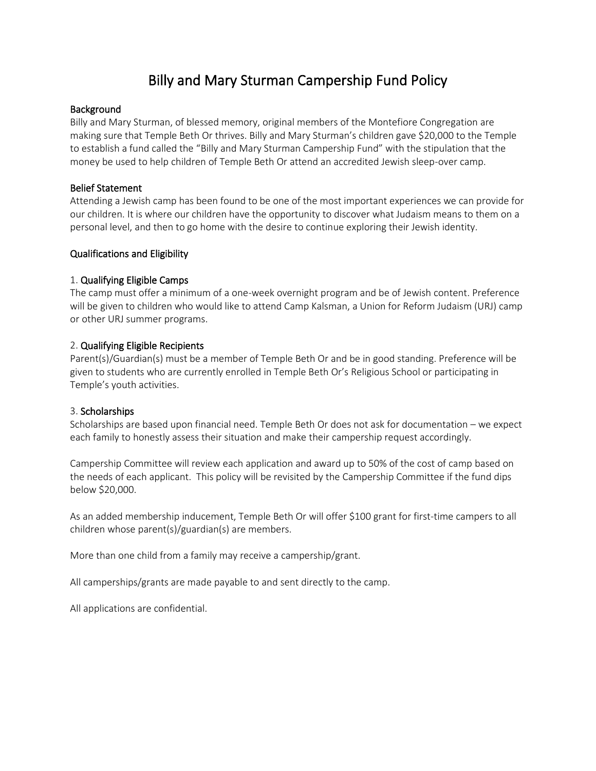# Billy and Mary Sturman Campership Fund Policy

## Background

Billy and Mary Sturman, of blessed memory, original members of the Montefiore Congregation are making sure that Temple Beth Or thrives. Billy and Mary Sturman's children gave \$20,000 to the Temple to establish a fund called the "Billy and Mary Sturman Campership Fund" with the stipulation that the money be used to help children of Temple Beth Or attend an accredited Jewish sleep-over camp.

#### Belief Statement

Attending a Jewish camp has been found to be one of the most important experiences we can provide for our children. It is where our children have the opportunity to discover what Judaism means to them on a personal level, and then to go home with the desire to continue exploring their Jewish identity.

## Qualifications and Eligibility

## 1. Qualifying Eligible Camps

The camp must offer a minimum of a one-week overnight program and be of Jewish content. Preference will be given to children who would like to attend Camp Kalsman, a Union for Reform Judaism (URJ) camp or other URJ summer programs.

## 2. Qualifying Eligible Recipients

Parent(s)/Guardian(s) must be a member of Temple Beth Or and be in good standing. Preference will be given to students who are currently enrolled in Temple Beth Or's Religious School or participating in Temple's youth activities.

#### 3. Scholarships

Scholarships are based upon financial need. Temple Beth Or does not ask for documentation – we expect each family to honestly assess their situation and make their campership request accordingly.

Campership Committee will review each application and award up to 50% of the cost of camp based on the needs of each applicant. This policy will be revisited by the Campership Committee if the fund dips below \$20,000.

As an added membership inducement, Temple Beth Or will offer \$100 grant for first-time campers to all children whose parent(s)/guardian(s) are members.

More than one child from a family may receive a campership/grant.

All camperships/grants are made payable to and sent directly to the camp.

All applications are confidential.